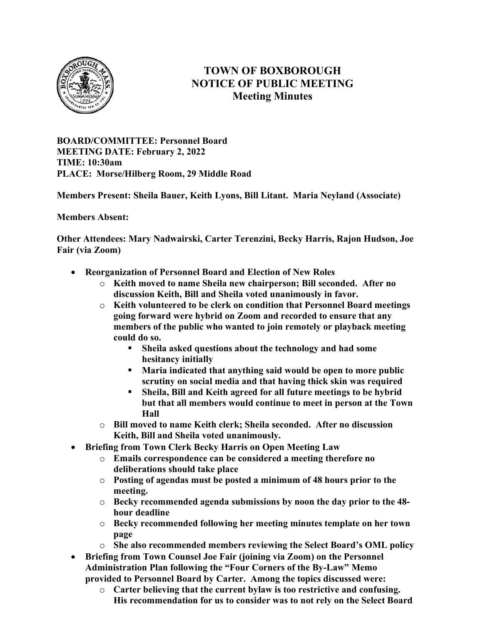

# TOWN OF BOXBOROUGH NOTICE OF PUBLIC MEETING Meeting Minutes

BOARD/COMMITTEE: Personnel Board MEETING DATE: February 2, 2022 TIME: 10:30am PLACE: Morse/Hilberg Room, 29 Middle Road

Members Present: Sheila Bauer, Keith Lyons, Bill Litant. Maria Neyland (Associate)

Members Absent:

Other Attendees: Mary Nadwairski, Carter Terenzini, Becky Harris, Rajon Hudson, Joe Fair (via Zoom)

- Reorganization of Personnel Board and Election of New Roles
	- o Keith moved to name Sheila new chairperson; Bill seconded. After no discussion Keith, Bill and Sheila voted unanimously in favor.
	- $\circ$  Keith volunteered to be clerk on condition that Personnel Board meetings going forward were hybrid on Zoom and recorded to ensure that any members of the public who wanted to join remotely or playback meeting could do so.
		- Sheila asked questions about the technology and had some hesitancy initially
		- Maria indicated that anything said would be open to more public scrutiny on social media and that having thick skin was required
		- Sheila, Bill and Keith agreed for all future meetings to be hybrid but that all members would continue to meet in person at the Town Hall
	- o Bill moved to name Keith clerk; Sheila seconded. After no discussion Keith, Bill and Sheila voted unanimously.
- Briefing from Town Clerk Becky Harris on Open Meeting Law
	- o Emails correspondence can be considered a meeting therefore no deliberations should take place
	- o Posting of agendas must be posted a minimum of 48 hours prior to the meeting.
	- $\circ$  Becky recommended agenda submissions by noon the day prior to the 48hour deadline
	- o Becky recommended following her meeting minutes template on her town page
	- o She also recommended members reviewing the Select Board's OML policy
- Briefing from Town Counsel Joe Fair (joining via Zoom) on the Personnel Administration Plan following the "Four Corners of the By-Law" Memo provided to Personnel Board by Carter. Among the topics discussed were:
	- o Carter believing that the current bylaw is too restrictive and confusing. His recommendation for us to consider was to not rely on the Select Board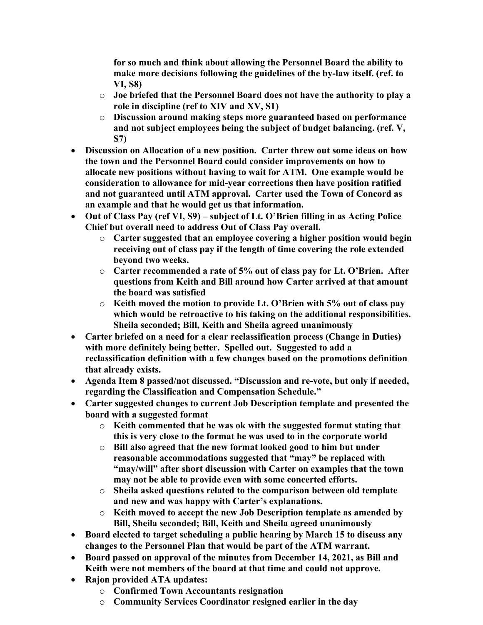for so much and think about allowing the Personnel Board the ability to make more decisions following the guidelines of the by-law itself. (ref. to VI, S8)

- o Joe briefed that the Personnel Board does not have the authority to play a role in discipline (ref to XIV and XV, S1)
- o Discussion around making steps more guaranteed based on performance and not subject employees being the subject of budget balancing. (ref. V, S7)
- Discussion on Allocation of a new position. Carter threw out some ideas on how the town and the Personnel Board could consider improvements on how to allocate new positions without having to wait for ATM. One example would be consideration to allowance for mid-year corrections then have position ratified and not guaranteed until ATM approval. Carter used the Town of Concord as an example and that he would get us that information.
- Out of Class Pay (ref VI, S9) subject of Lt. O'Brien filling in as Acting Police Chief but overall need to address Out of Class Pay overall.
	- o Carter suggested that an employee covering a higher position would begin receiving out of class pay if the length of time covering the role extended beyond two weeks.
	- $\circ$  Carter recommended a rate of 5% out of class pay for Lt. O'Brien. After questions from Keith and Bill around how Carter arrived at that amount the board was satisfied
	- $\circ$  Keith moved the motion to provide Lt. O'Brien with 5% out of class pay which would be retroactive to his taking on the additional responsibilities. Sheila seconded; Bill, Keith and Sheila agreed unanimously
- Carter briefed on a need for a clear reclassification process (Change in Duties) with more definitely being better. Spelled out. Suggested to add a reclassification definition with a few changes based on the promotions definition that already exists.
- Agenda Item 8 passed/not discussed. "Discussion and re-vote, but only if needed, regarding the Classification and Compensation Schedule."
- Carter suggested changes to current Job Description template and presented the board with a suggested format
	- o Keith commented that he was ok with the suggested format stating that this is very close to the format he was used to in the corporate world
	- o Bill also agreed that the new format looked good to him but under reasonable accommodations suggested that "may" be replaced with "may/will" after short discussion with Carter on examples that the town may not be able to provide even with some concerted efforts.
	- o Sheila asked questions related to the comparison between old template and new and was happy with Carter's explanations.
	- o Keith moved to accept the new Job Description template as amended by Bill, Sheila seconded; Bill, Keith and Sheila agreed unanimously
- Board elected to target scheduling a public hearing by March 15 to discuss any changes to the Personnel Plan that would be part of the ATM warrant.
- Board passed on approval of the minutes from December 14, 2021, as Bill and Keith were not members of the board at that time and could not approve.
- Rajon provided ATA updates:
	- o Confirmed Town Accountants resignation
	- o Community Services Coordinator resigned earlier in the day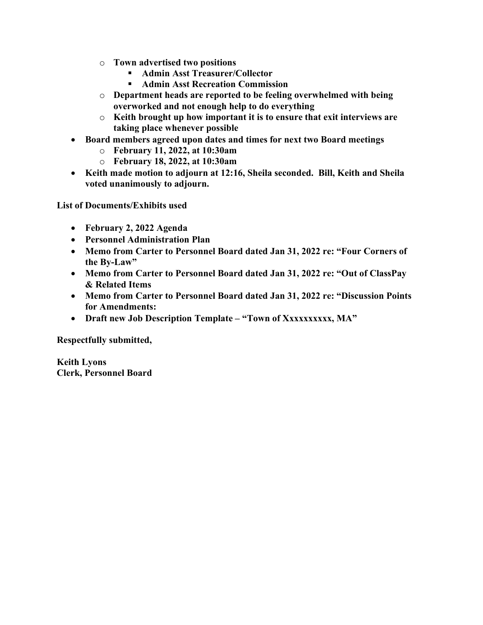- o Town advertised two positions
	- Admin Asst Treasurer/Collector
	- Admin Asst Recreation Commission
- o Department heads are reported to be feeling overwhelmed with being overworked and not enough help to do everything
- o Keith brought up how important it is to ensure that exit interviews are taking place whenever possible
- Board members agreed upon dates and times for next two Board meetings
	- o February 11, 2022, at 10:30am
	- o February 18, 2022, at 10:30am
- Keith made motion to adjourn at 12:16, Sheila seconded. Bill, Keith and Sheila voted unanimously to adjourn.

List of Documents/Exhibits used

- February 2, 2022 Agenda
- Personnel Administration Plan
- Memo from Carter to Personnel Board dated Jan 31, 2022 re: "Four Corners of the By-Law"
- Memo from Carter to Personnel Board dated Jan 31, 2022 re: "Out of ClassPay & Related Items
- Memo from Carter to Personnel Board dated Jan 31, 2022 re: "Discussion Points for Amendments:
- Draft new Job Description Template "Town of Xxxxxxxxxx, MA"

Respectfully submitted,

Keith Lyons Clerk, Personnel Board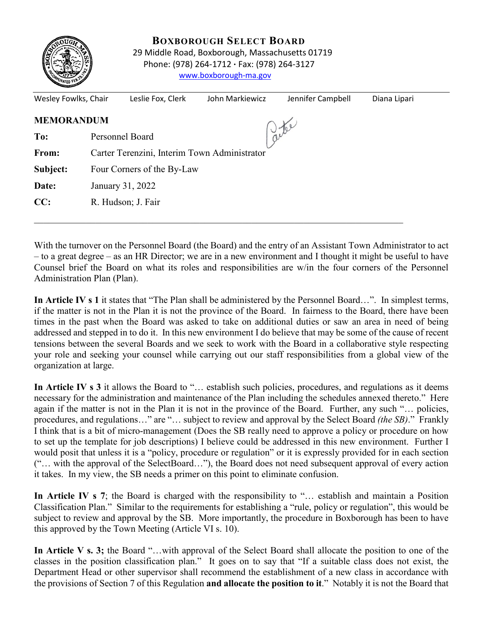

 **BOXBOROUGH SELECT BOARD** 29 Middle Road, Boxborough, Massachusetts 01719 Phone: (978) 264-1712 **·** Fax: (978) 264-3127 [www.boxborough-ma.gov](http://www.boxborough-ma.gov/)

| Wesley Fowlks, Chair |                                              | Leslie Fox, Clerk | John Markiewicz | Jennifer Campbell | Diana Lipari |  |  |  |
|----------------------|----------------------------------------------|-------------------|-----------------|-------------------|--------------|--|--|--|
| <b>MEMORANDUM</b>    |                                              |                   |                 |                   |              |  |  |  |
| To:                  | Personnel Board                              |                   |                 |                   |              |  |  |  |
| From:                | Carter Terenzini, Interim Town Administrator |                   |                 |                   |              |  |  |  |
| Subject:             | Four Corners of the By-Law                   |                   |                 |                   |              |  |  |  |
| Date:                | January 31, 2022                             |                   |                 |                   |              |  |  |  |
| CC:                  | R. Hudson; J. Fair                           |                   |                 |                   |              |  |  |  |
|                      |                                              |                   |                 |                   |              |  |  |  |

With the turnover on the Personnel Board (the Board) and the entry of an Assistant Town Administrator to act – to a great degree – as an HR Director; we are in a new environment and I thought it might be useful to have Counsel brief the Board on what its roles and responsibilities are w/in the four corners of the Personnel Administration Plan (Plan).

**In Article IV s 1** it states that "The Plan shall be administered by the Personnel Board…". In simplest terms, if the matter is not in the Plan it is not the province of the Board. In fairness to the Board, there have been times in the past when the Board was asked to take on additional duties or saw an area in need of being addressed and stepped in to do it. In this new environment I do believe that may be some of the cause of recent tensions between the several Boards and we seek to work with the Board in a collaborative style respecting your role and seeking your counsel while carrying out our staff responsibilities from a global view of the organization at large.

In Article IV s 3 it allows the Board to "... establish such policies, procedures, and regulations as it deems necessary for the administration and maintenance of the Plan including the schedules annexed thereto." Here again if the matter is not in the Plan it is not in the province of the Board. Further, any such "… policies, procedures, and regulations…" are "… subject to review and approval by the Select Board *(the SB)*." Frankly I think that is a bit of micro-management (Does the SB really need to approve a policy or procedure on how to set up the template for job descriptions) I believe could be addressed in this new environment. Further I would posit that unless it is a "policy, procedure or regulation" or it is expressly provided for in each section ("… with the approval of the SelectBoard…"), the Board does not need subsequent approval of every action it takes. In my view, the SB needs a primer on this point to eliminate confusion.

**In Article IV s 7**; the Board is charged with the responsibility to "… establish and maintain a Position Classification Plan." Similar to the requirements for establishing a "rule, policy or regulation", this would be subject to review and approval by the SB. More importantly, the procedure in Boxborough has been to have this approved by the Town Meeting (Article VI s. 10).

**In Article V s. 3;** the Board "…with approval of the Select Board shall allocate the position to one of the classes in the position classification plan." It goes on to say that "If a suitable class does not exist, the Department Head or other supervisor shall recommend the establishment of a new class in accordance with the provisions of Section 7 of this Regulation **and allocate the position to it**." Notably it is not the Board that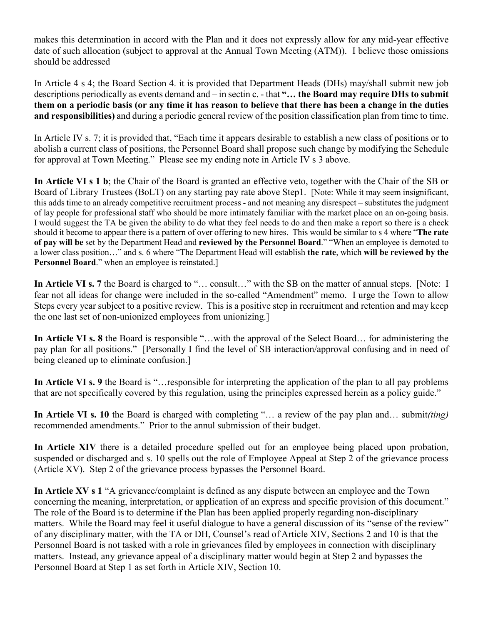makes this determination in accord with the Plan and it does not expressly allow for any mid-year effective date of such allocation (subject to approval at the Annual Town Meeting (ATM)). I believe those omissions should be addressed

In Article 4 s 4; the Board Section 4. it is provided that Department Heads (DHs) may/shall submit new job descriptions periodically as events demand and – in sectin c. - that **"… the Board may require DHs to submit them on a periodic basis (or any time it has reason to believe that there has been a change in the duties and responsibilities)** and during a periodic general review of the position classification plan from time to time.

In Article IV s. 7; it is provided that, "Each time it appears desirable to establish a new class of positions or to abolish a current class of positions, the Personnel Board shall propose such change by modifying the Schedule for approval at Town Meeting." Please see my ending note in Article IV s 3 above.

**In Article VI s 1 b**; the Chair of the Board is granted an effective veto, together with the Chair of the SB or Board of Library Trustees (BoLT) on any starting pay rate above Step1. [Note: While it may seem insignificant, this adds time to an already competitive recruitment process - and not meaning any disrespect – substitutes the judgment of lay people for professional staff who should be more intimately familiar with the market place on an on-going basis. I would suggest the TA be given the ability to do what they feel needs to do and then make a report so there is a check should it become to appear there is a pattern of over offering to new hires. This would be similar to s 4 where "**The rate of pay will be** set by the Department Head and **reviewed by the Personnel Board**." "When an employee is demoted to a lower class position…" and s. 6 where "The Department Head will establish **the rate**, which **will be reviewed by the Personnel Board**." when an employee is reinstated.]

In Article VI s. 7 the Board is charged to "... consult..." with the SB on the matter of annual steps. [Note: I fear not all ideas for change were included in the so-called "Amendment" memo. I urge the Town to allow Steps every year subject to a positive review. This is a positive step in recruitment and retention and may keep the one last set of non-unionized employees from unionizing.]

**In Article VI s. 8** the Board is responsible "…with the approval of the Select Board… for administering the pay plan for all positions." [Personally I find the level of SB interaction/approval confusing and in need of being cleaned up to eliminate confusion.]

**In Article VI s. 9** the Board is "…responsible for interpreting the application of the plan to all pay problems that are not specifically covered by this regulation, using the principles expressed herein as a policy guide."

**In Article VI s. 10** the Board is charged with completing "… a review of the pay plan and… submit*(ting)* recommended amendments." Prior to the annul submission of their budget.

**In Article XIV** there is a detailed procedure spelled out for an employee being placed upon probation, suspended or discharged and s. 10 spells out the role of Employee Appeal at Step 2 of the grievance process (Article XV). Step 2 of the grievance process bypasses the Personnel Board.

**In Article XV s 1** "A grievance/complaint is defined as any dispute between an employee and the Town concerning the meaning, interpretation, or application of an express and specific provision of this document." The role of the Board is to determine if the Plan has been applied properly regarding non-disciplinary matters. While the Board may feel it useful dialogue to have a general discussion of its "sense of the review" of any disciplinary matter, with the TA or DH, Counsel's read of Article XIV, Sections 2 and 10 is that the Personnel Board is not tasked with a role in grievances filed by employees in connection with disciplinary matters. Instead, any grievance appeal of a disciplinary matter would begin at Step 2 and bypasses the Personnel Board at Step 1 as set forth in Article XIV, Section 10.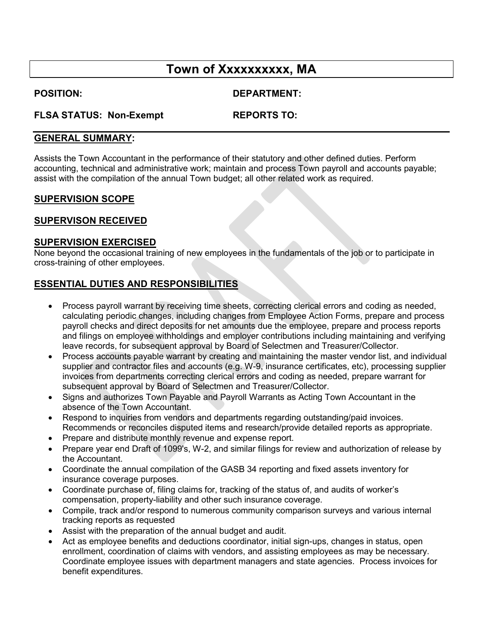# **Town of Xxxxxxxxxx, MA**

**POSITION: DEPARTMENT:**

#### **FLSA STATUS: Non-Exempt REPORTS TO:**

#### **GENERAL SUMMARY:**

Assists the Town Accountant in the performance of their statutory and other defined duties. Perform accounting, technical and administrative work; maintain and process Town payroll and accounts payable; assist with the compilation of the annual Town budget; all other related work as required.

#### **SUPERVISION SCOPE**

#### **SUPERVISON RECEIVED**

#### **SUPERVISION EXERCISED**

None beyond the occasional training of new employees in the fundamentals of the job or to participate in cross-training of other employees.

### **ESSENTIAL DUTIES AND RESPONSIBILITIES**

- Process payroll warrant by receiving time sheets, correcting clerical errors and coding as needed, calculating periodic changes, including changes from Employee Action Forms, prepare and process payroll checks and direct deposits for net amounts due the employee, prepare and process reports and filings on employee withholdings and employer contributions including maintaining and verifying leave records, for subsequent approval by Board of Selectmen and Treasurer/Collector.
- Process accounts payable warrant by creating and maintaining the master vendor list, and individual supplier and contractor files and accounts (e.g. W-9, insurance certificates, etc), processing supplier invoices from departments correcting clerical errors and coding as needed, prepare warrant for subsequent approval by Board of Selectmen and Treasurer/Collector.
- Signs and authorizes Town Payable and Payroll Warrants as Acting Town Accountant in the absence of the Town Accountant.
- Respond to inquiries from vendors and departments regarding outstanding/paid invoices. Recommends or reconciles disputed items and research/provide detailed reports as appropriate.
- Prepare and distribute monthly revenue and expense report.
- Prepare year end Draft of 1099's, W-2, and similar filings for review and authorization of release by the Accountant.
- Coordinate the annual compilation of the GASB 34 reporting and fixed assets inventory for insurance coverage purposes.
- Coordinate purchase of, filing claims for, tracking of the status of, and audits of worker's compensation, property-liability and other such insurance coverage.
- Compile, track and/or respond to numerous community comparison surveys and various internal tracking reports as requested
- Assist with the preparation of the annual budget and audit.
- Act as employee benefits and deductions coordinator, initial sign-ups, changes in status, open enrollment, coordination of claims with vendors, and assisting employees as may be necessary. Coordinate employee issues with department managers and state agencies. Process invoices for benefit expenditures.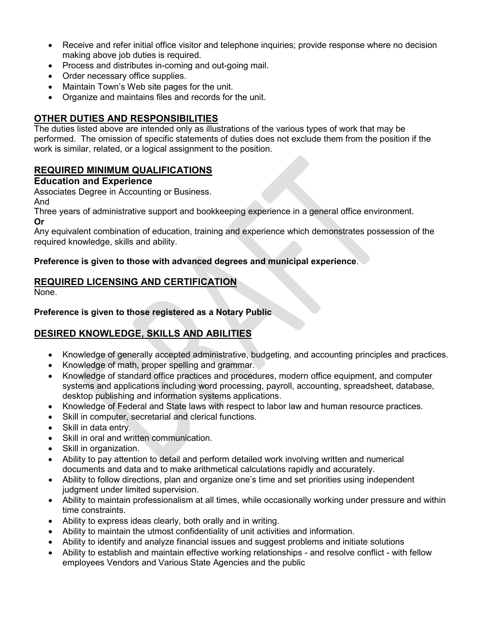- Receive and refer initial office visitor and telephone inquiries; provide response where no decision making above job duties is required.
- Process and distributes in-coming and out-going mail.
- Order necessary office supplies.
- Maintain Town's Web site pages for the unit.
- Organize and maintains files and records for the unit.

## **OTHER DUTIES AND RESPONSIBILITIES**

The duties listed above are intended only as illustrations of the various types of work that may be performed. The omission of specific statements of duties does not exclude them from the position if the work is similar, related, or a logical assignment to the position.

### **REQUIRED MINIMUM QUALIFICATIONS**

#### **Education and Experience**

Associates Degree in Accounting or Business.

And

Three years of administrative support and bookkeeping experience in a general office environment. **Or**

Any equivalent combination of education, training and experience which demonstrates possession of the required knowledge, skills and ability.

#### **Preference is given to those with advanced degrees and municipal experience**.

### **REQUIRED LICENSING AND CERTIFICATION**

None.

#### **Preference is given to those registered as a Notary Public**

# **DESIRED KNOWLEDGE, SKILLS AND ABILITIES**

- Knowledge of generally accepted administrative, budgeting, and accounting principles and practices.
- Knowledge of math, proper spelling and grammar.
- Knowledge of standard office practices and procedures, modern office equipment, and computer systems and applications including word processing, payroll, accounting, spreadsheet, database, desktop publishing and information systems applications.
- Knowledge of Federal and State laws with respect to labor law and human resource practices.
- Skill in computer, secretarial and clerical functions.
- Skill in data entry.
- Skill in oral and written communication.
- Skill in organization.
- Ability to pay attention to detail and perform detailed work involving written and numerical documents and data and to make arithmetical calculations rapidly and accurately.
- Ability to follow directions, plan and organize one's time and set priorities using independent judgment under limited supervision.
- Ability to maintain professionalism at all times, while occasionally working under pressure and within time constraints.
- Ability to express ideas clearly, both orally and in writing.
- Ability to maintain the utmost confidentiality of unit activities and information.
- Ability to identify and analyze financial issues and suggest problems and initiate solutions
- Ability to establish and maintain effective working relationships and resolve conflict with fellow employees Vendors and Various State Agencies and the public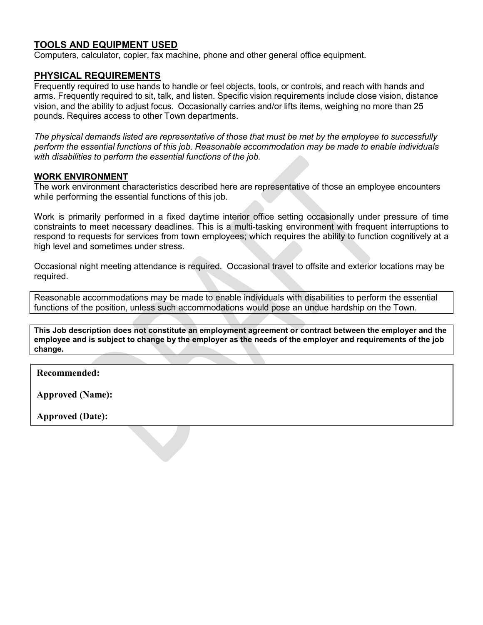#### **TOOLS AND EQUIPMENT USED**

Computers, calculator, copier, fax machine, phone and other general office equipment.

#### **PHYSICAL REQUIREMENTS**

Frequently required to use hands to handle or feel objects, tools, or controls, and reach with hands and arms. Frequently required to sit, talk, and listen. Specific vision requirements include close vision, distance vision, and the ability to adjust focus. Occasionally carries and/or lifts items, weighing no more than 25 pounds. Requires access to other Town departments.

*The physical demands listed are representative of those that must be met by the employee to successfully perform the essential functions of this job. Reasonable accommodation may be made to enable individuals with disabilities to perform the essential functions of the job.*

#### **WORK ENVIRONMENT**

The work environment characteristics described here are representative of those an employee encounters while performing the essential functions of this job.

Work is primarily performed in a fixed daytime interior office setting occasionally under pressure of time constraints to meet necessary deadlines. This is a multi-tasking environment with frequent interruptions to respond to requests for services from town employees; which requires the ability to function cognitively at a high level and sometimes under stress.

Occasional night meeting attendance is required. Occasional travel to offsite and exterior locations may be required.

Reasonable accommodations may be made to enable individuals with disabilities to perform the essential functions of the position, unless such accommodations would pose an undue hardship on the Town.

**This Job description does not constitute an employment agreement or contract between the employer and the employee and is subject to change by the employer as the needs of the employer and requirements of the job change.** 

**Recommended:**

**Approved (Name):**

**Approved (Date):**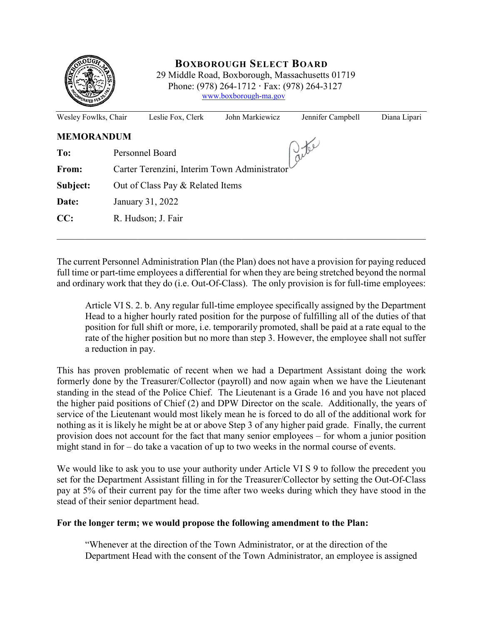

## **BOXBOROUGH SELECT BOARD**

 29 Middle Road, Boxborough, Massachusetts 01719 Phone: (978) 264-1712 **·** Fax: (978) 264-3127 [www.boxborough-ma.gov](http://www.boxborough-ma.gov/)

| Wesley Fowlks, Chair |                                              | Leslie Fox, Clerk  | John Markiewicz | Jennifer Campbell | Diana Lipari |  |  |
|----------------------|----------------------------------------------|--------------------|-----------------|-------------------|--------------|--|--|
| <b>MEMORANDUM</b>    |                                              |                    |                 |                   |              |  |  |
| To:                  | Jele<br>Personnel Board                      |                    |                 |                   |              |  |  |
| From:                | Carter Terenzini, Interim Town Administrator |                    |                 |                   |              |  |  |
| Subject:             | Out of Class Pay & Related Items             |                    |                 |                   |              |  |  |
| Date:                | January 31, 2022                             |                    |                 |                   |              |  |  |
| CC:                  |                                              | R. Hudson; J. Fair |                 |                   |              |  |  |
|                      |                                              |                    |                 |                   |              |  |  |

The current Personnel Administration Plan (the Plan) does not have a provision for paying reduced full time or part-time employees a differential for when they are being stretched beyond the normal and ordinary work that they do (i.e. Out-Of-Class). The only provision is for full-time employees:

Article VI S. 2. b. Any regular full-time employee specifically assigned by the Department Head to a higher hourly rated position for the purpose of fulfilling all of the duties of that position for full shift or more, i.e. temporarily promoted, shall be paid at a rate equal to the rate of the higher position but no more than step 3. However, the employee shall not suffer a reduction in pay.

This has proven problematic of recent when we had a Department Assistant doing the work formerly done by the Treasurer/Collector (payroll) and now again when we have the Lieutenant standing in the stead of the Police Chief. The Lieutenant is a Grade 16 and you have not placed the higher paid positions of Chief (2) and DPW Director on the scale. Additionally, the years of service of the Lieutenant would most likely mean he is forced to do all of the additional work for nothing as it is likely he might be at or above Step 3 of any higher paid grade. Finally, the current provision does not account for the fact that many senior employees – for whom a junior position might stand in for – do take a vacation of up to two weeks in the normal course of events.

We would like to ask you to use your authority under Article VI S 9 to follow the precedent you set for the Department Assistant filling in for the Treasurer/Collector by setting the Out-Of-Class pay at 5% of their current pay for the time after two weeks during which they have stood in the stead of their senior department head.

#### **For the longer term; we would propose the following amendment to the Plan:**

"Whenever at the direction of the Town Administrator, or at the direction of the Department Head with the consent of the Town Administrator, an employee is assigned